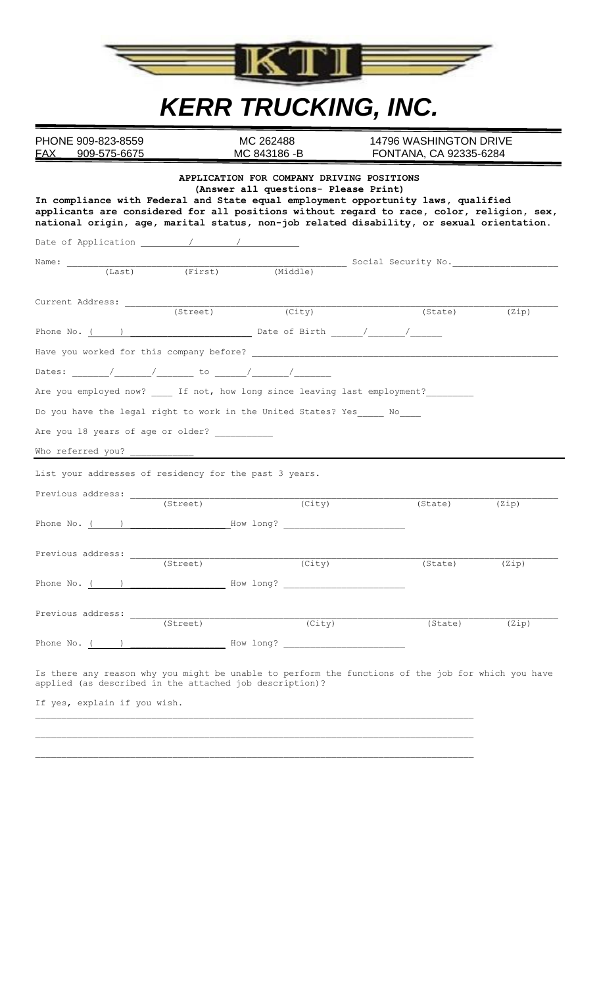

# *KERR TRUCKING, INC.*

PHONE 909-823-8559 MC 262488 14796 WASHINGTON DRIVE<br>
FAX 909-575-6675 MC 843186 -B FONTANA, CA 92335-6284 FONTANA, CA 92335-6284

|                                                                       |                      | $(\overline{City})$ | (State) | (Zip) |
|-----------------------------------------------------------------------|----------------------|---------------------|---------|-------|
|                                                                       |                      |                     |         |       |
|                                                                       |                      |                     |         |       |
|                                                                       |                      |                     |         |       |
|                                                                       |                      |                     |         |       |
| Are you employed now? If not, how long since leaving last employment? |                      |                     |         |       |
| Do you have the legal right to work in the United States? Yes ____ No |                      |                     |         |       |
| Are you 18 years of age or older? _____________                       |                      |                     |         |       |
|                                                                       |                      |                     |         |       |
|                                                                       |                      |                     |         |       |
| List your addresses of residency for the past 3 years.                |                      |                     |         |       |
| Previous address: _________                                           | $\frac{1}{(Street)}$ |                     |         |       |
|                                                                       |                      | (City)              | (State) |       |
|                                                                       |                      |                     |         | (Zip) |
|                                                                       |                      |                     |         |       |
|                                                                       |                      |                     |         |       |
|                                                                       |                      | (City)              | (State) | (Zip) |
|                                                                       |                      |                     |         |       |
| Phone No. $($ ) $)$ How long? $)$                                     |                      |                     |         |       |
| Previous address:                                                     |                      |                     |         |       |
|                                                                       | (Street)             | (City)              | (State) | (Zip) |
| Phone No. $($ ) $)$ How long? $)$                                     |                      |                     |         |       |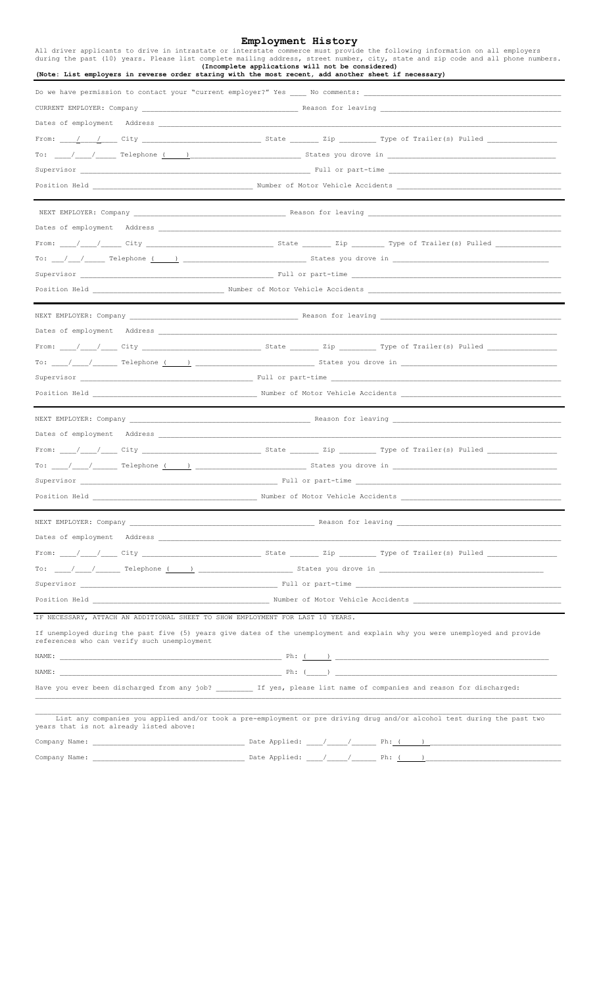### **Employment History**

|                                                                                                                                                                                                                                | ----------<br>All driver applicants to drive in intrastate or interstate commerce must provide the following information on all employers<br>during the past (10) years. Please list complete mailing address, street number, city, state and zip code and all phone numbers.                                                                                                                                                 |  |  |
|--------------------------------------------------------------------------------------------------------------------------------------------------------------------------------------------------------------------------------|-------------------------------------------------------------------------------------------------------------------------------------------------------------------------------------------------------------------------------------------------------------------------------------------------------------------------------------------------------------------------------------------------------------------------------|--|--|
|                                                                                                                                                                                                                                | (Incomplete applications will not be considered)<br>(Note: List employers in reverse order staring with the most recent, add another sheet if necessary)                                                                                                                                                                                                                                                                      |  |  |
|                                                                                                                                                                                                                                | Do we have permission to contact your "current employer?" Yes Mo comments:                                                                                                                                                                                                                                                                                                                                                    |  |  |
|                                                                                                                                                                                                                                |                                                                                                                                                                                                                                                                                                                                                                                                                               |  |  |
|                                                                                                                                                                                                                                |                                                                                                                                                                                                                                                                                                                                                                                                                               |  |  |
|                                                                                                                                                                                                                                | From: ____/____/_____ City _______________________________ State _________ Zip __________ Type of Trailer(s) Pulled ___________________                                                                                                                                                                                                                                                                                       |  |  |
|                                                                                                                                                                                                                                |                                                                                                                                                                                                                                                                                                                                                                                                                               |  |  |
|                                                                                                                                                                                                                                |                                                                                                                                                                                                                                                                                                                                                                                                                               |  |  |
|                                                                                                                                                                                                                                |                                                                                                                                                                                                                                                                                                                                                                                                                               |  |  |
|                                                                                                                                                                                                                                |                                                                                                                                                                                                                                                                                                                                                                                                                               |  |  |
|                                                                                                                                                                                                                                |                                                                                                                                                                                                                                                                                                                                                                                                                               |  |  |
|                                                                                                                                                                                                                                |                                                                                                                                                                                                                                                                                                                                                                                                                               |  |  |
|                                                                                                                                                                                                                                | To: $\frac{1}{\sqrt{1-\frac{1}{2}}\sqrt{1-\frac{1}{2}}\sqrt{1-\frac{1}{2}}\sqrt{1-\frac{1}{2}}\sqrt{1-\frac{1}{2}}\sqrt{1-\frac{1}{2}}\sqrt{1-\frac{1}{2}}\sqrt{1-\frac{1}{2}}\sqrt{1-\frac{1}{2}}\sqrt{1-\frac{1}{2}}\sqrt{1-\frac{1}{2}}\sqrt{1-\frac{1}{2}}\sqrt{1-\frac{1}{2}}\sqrt{1-\frac{1}{2}}\sqrt{1-\frac{1}{2}}\sqrt{1-\frac{1}{2}}\sqrt{1-\frac{1}{2}}\sqrt{1-\frac{1}{2}}\sqrt{1-\frac{1}{2}}\sqrt$              |  |  |
|                                                                                                                                                                                                                                |                                                                                                                                                                                                                                                                                                                                                                                                                               |  |  |
|                                                                                                                                                                                                                                |                                                                                                                                                                                                                                                                                                                                                                                                                               |  |  |
|                                                                                                                                                                                                                                |                                                                                                                                                                                                                                                                                                                                                                                                                               |  |  |
|                                                                                                                                                                                                                                |                                                                                                                                                                                                                                                                                                                                                                                                                               |  |  |
|                                                                                                                                                                                                                                | From: ___/___/____ City ________________________________ State ________ Zip __________ Type of Trailer(s) Pulled ______________________                                                                                                                                                                                                                                                                                       |  |  |
|                                                                                                                                                                                                                                | To: $\frac{1}{\sqrt{1-\frac{1}{1-\frac{1}{1-\frac{1}{1-\frac{1}{1-\frac{1}{1-\frac{1}{1-\frac{1}{1-\frac{1}{1-\frac{1}{1-\frac{1}{1-\frac{1}{1-\frac{1}{1-\frac{1}{1-\frac{1}{1-\frac{1}{1-\frac{1}{1-\frac{1}{1-\frac{1}{1-\frac{1}{1-\frac{1}{1-\frac{1}{1-\frac{1}{1-\frac{1}{1-\frac{1}{1-\frac{1}{1-\frac{1}{1-\frac{1}{1-\frac{1}{1-\frac{1}{1-\frac{1}{1-\frac{1}{1-\frac{1}{1-\frac{1}{1-\frac{1}{1-\frac{$           |  |  |
|                                                                                                                                                                                                                                |                                                                                                                                                                                                                                                                                                                                                                                                                               |  |  |
|                                                                                                                                                                                                                                |                                                                                                                                                                                                                                                                                                                                                                                                                               |  |  |
|                                                                                                                                                                                                                                |                                                                                                                                                                                                                                                                                                                                                                                                                               |  |  |
|                                                                                                                                                                                                                                |                                                                                                                                                                                                                                                                                                                                                                                                                               |  |  |
|                                                                                                                                                                                                                                |                                                                                                                                                                                                                                                                                                                                                                                                                               |  |  |
|                                                                                                                                                                                                                                | To: $\frac{1}{\sqrt{1-\frac{1}{1-\frac{1}{1-\frac{1}{1-\frac{1}{1-\frac{1}{1-\frac{1}{1-\frac{1}{1-\frac{1}{1-\frac{1}{1-\frac{1}{1-\frac{1}{1-\frac{1}{1-\frac{1}{1-\frac{1}{1-\frac{1}{1-\frac{1}{1-\frac{1}{1-\frac{1}{1-\frac{1}{1-\frac{1}{1-\frac{1}{1-\frac{1}{1-\frac{1}{1-\frac{1}{1-\frac{1}{1-\frac{1}{1-\frac{1}{1-\frac{1}{1-\frac{1}{1-\frac{1}{1-\frac{1}{1-\frac{1}{1-\frac{1}{1-\frac{1}{1-\frac{$           |  |  |
| Supervisor                                                                                                                                                                                                                     | Full or part-time                                                                                                                                                                                                                                                                                                                                                                                                             |  |  |
|                                                                                                                                                                                                                                | Position Held <b>Example 2018</b> Number of Motor Vehicle Accidents                                                                                                                                                                                                                                                                                                                                                           |  |  |
|                                                                                                                                                                                                                                |                                                                                                                                                                                                                                                                                                                                                                                                                               |  |  |
| Dates of employment Address and the state of the state of the state of the state of the state of the state of the state of the state of the state of the state of the state of the state of the state of the state of the stat |                                                                                                                                                                                                                                                                                                                                                                                                                               |  |  |
|                                                                                                                                                                                                                                |                                                                                                                                                                                                                                                                                                                                                                                                                               |  |  |
|                                                                                                                                                                                                                                | To: $\frac{1}{\sqrt{1-\frac{1}{\sqrt{1-\frac{1}{\sqrt{1-\frac{1}{\sqrt{1-\frac{1}{\sqrt{1-\frac{1}{\sqrt{1-\frac{1}{\sqrt{1-\frac{1}{\sqrt{1-\frac{1}{\sqrt{1-\frac{1}{\sqrt{1-\frac{1}{\sqrt{1-\frac{1}{\sqrt{1-\frac{1}{\sqrt{1-\frac{1}{\sqrt{1-\frac{1}{\sqrt{1-\frac{1}{\sqrt{1-\frac{1}{\sqrt{1-\frac{1}{\sqrt{1-\frac{1}{\sqrt{1-\frac{1}{\sqrt{1-\frac{1}{\sqrt{1-\frac{1}{\sqrt{1-\frac{1}{\sqrt{1-\frac{1}{\sqrt{1$ |  |  |
|                                                                                                                                                                                                                                |                                                                                                                                                                                                                                                                                                                                                                                                                               |  |  |
|                                                                                                                                                                                                                                |                                                                                                                                                                                                                                                                                                                                                                                                                               |  |  |
| IF NECESSARY, ATTACH AN ADDITIONAL SHEET TO SHOW EMPLOYMENT FOR LAST 10 YEARS.                                                                                                                                                 |                                                                                                                                                                                                                                                                                                                                                                                                                               |  |  |
| references who can verify such unemployment                                                                                                                                                                                    | If unemployed during the past five (5) years give dates of the unemployment and explain why you were unemployed and provide                                                                                                                                                                                                                                                                                                   |  |  |
|                                                                                                                                                                                                                                |                                                                                                                                                                                                                                                                                                                                                                                                                               |  |  |
|                                                                                                                                                                                                                                |                                                                                                                                                                                                                                                                                                                                                                                                                               |  |  |
|                                                                                                                                                                                                                                | Have you ever been discharged from any job? __________ If yes, please list name of companies and reason for discharged:                                                                                                                                                                                                                                                                                                       |  |  |
|                                                                                                                                                                                                                                |                                                                                                                                                                                                                                                                                                                                                                                                                               |  |  |
| years that is not already listed above:                                                                                                                                                                                        | List any companies you applied and/or took a pre-employment or pre driving drug and/or alcohol test during the past two                                                                                                                                                                                                                                                                                                       |  |  |
|                                                                                                                                                                                                                                |                                                                                                                                                                                                                                                                                                                                                                                                                               |  |  |

Company Name: \_\_\_\_\_\_\_\_\_\_\_\_\_\_\_\_\_\_\_\_\_\_\_\_\_\_\_\_\_\_\_\_\_\_\_\_\_ Date Applied: \_\_\_\_/\_\_\_\_\_/\_\_\_\_\_\_ Ph: ( )\_\_\_\_\_\_\_\_\_\_\_\_\_\_\_\_\_\_\_\_\_\_\_\_\_\_\_\_\_\_\_\_\_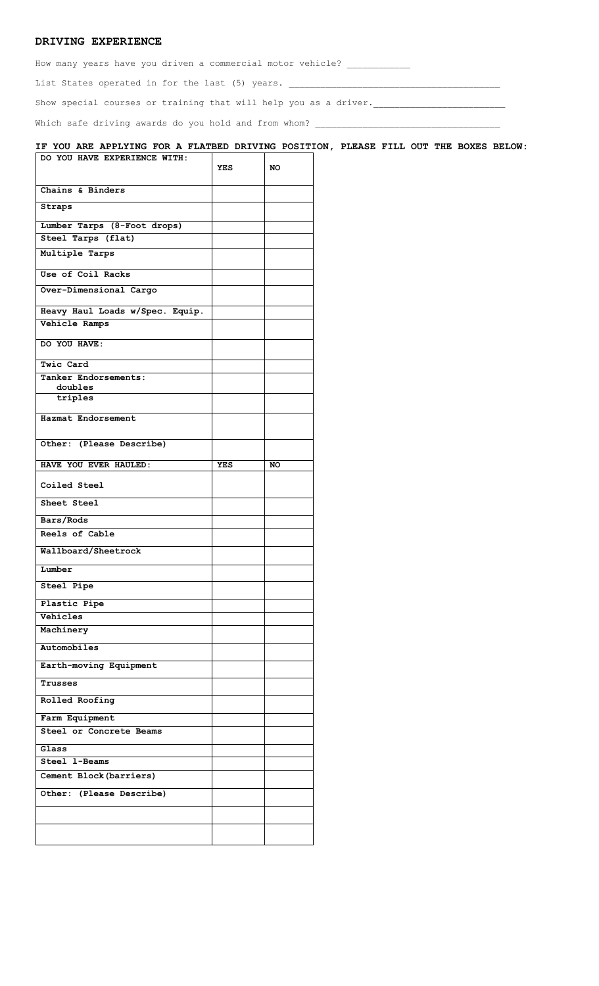## **DRIVING EXPERIENCE**

How many years have you driven a commercial motor vehicle? \_\_\_\_\_\_\_\_\_\_\_\_\_\_\_\_\_\_\_\_\_

List States operated in for the last (5) years. \_\_\_\_\_\_\_\_\_\_\_\_\_\_\_\_\_\_\_\_\_\_\_\_\_\_\_\_\_\_\_\_\_\_\_\_\_\_\_\_

Show special courses or training that will help you as a driver.

Which safe driving awards do you hold and from whom? \_\_\_\_\_\_\_\_\_\_\_\_\_\_\_\_\_\_\_\_\_\_\_\_\_\_\_\_\_\_\_\_\_\_\_

#### **IF YOU ARE APPLYING FOR A FLATBED DRIVING POSITION, PLEASE FILL OUT THE BOXES BELOW: DO YOU HAVE EXPERIENCE WITH:**

|                                 | <b>YES</b> | NO        |
|---------------------------------|------------|-----------|
| Chains & Binders                |            |           |
| Straps                          |            |           |
| Lumber Tarps (8-Foot drops)     |            |           |
| Steel Tarps (flat)              |            |           |
| Multiple Tarps                  |            |           |
| Use of Coil Racks               |            |           |
| Over-Dimensional Cargo          |            |           |
| Heavy Haul Loads w/Spec. Equip. |            |           |
| Vehicle Ramps                   |            |           |
| DO YOU HAVE:                    |            |           |
| Twic Card                       |            |           |
| Tanker Endorsements:            |            |           |
| doubles                         |            |           |
| triples                         |            |           |
| Hazmat Endorsement              |            |           |
| Other: (Please Describe)        |            |           |
| HAVE YOU EVER HAULED:           | <b>YES</b> | <b>NO</b> |
| Coiled Steel                    |            |           |
| Sheet Steel                     |            |           |
| Bars/Rods                       |            |           |
| Reels of Cable                  |            |           |
| Wallboard/Sheetrock             |            |           |
| Lumber                          |            |           |
| Steel Pipe                      |            |           |
| Plastic Pipe                    |            |           |
| Vehicles                        |            |           |
| Machinery                       |            |           |
| Automobiles                     |            |           |
| Earth-moving Equipment          |            |           |
| Trusses                         |            |           |
| Rolled Roofing                  |            |           |
| Farm Equipment                  |            |           |
| Steel or Concrete Beams         |            |           |
| Glass                           |            |           |
| Steel 1-Beams                   |            |           |
| Cement Block (barriers)         |            |           |
|                                 |            |           |
| Other: (Please Describe)        |            |           |
|                                 |            |           |
|                                 |            |           |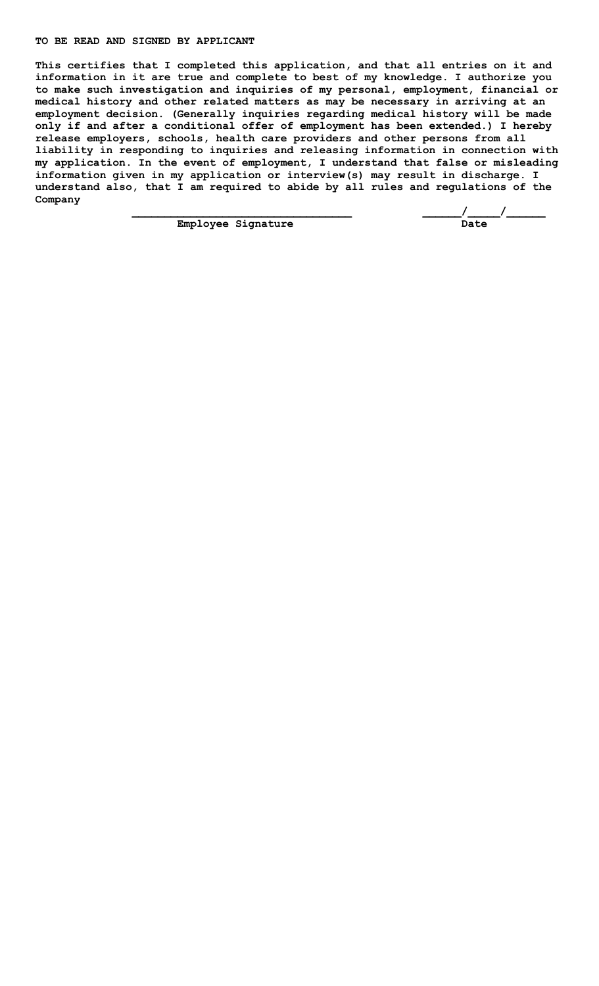#### **TO BE READ AND SIGNED BY APPLICANT**

**This certifies that I completed this application, and that all entries on it and information in it are true and complete to best of my knowledge. I authorize you to make such investigation and inquiries of my personal, employment, financial or medical history and other related matters as may be necessary in arriving at an employment decision. (Generally inquiries regarding medical history will be made only if and after a conditional offer of employment has been extended.) I hereby release employers, schools, health care providers and other persons from all liability in responding to inquiries and releasing information in connection with my application. In the event of employment, I understand that false or misleading information given in my application or interview(s) may result in discharge. I understand also, that I am required to abide by all rules and regulations of the Company**

**Employee Signature** 

 **\_\_\_\_\_\_\_\_\_\_\_\_\_\_\_\_\_\_\_\_\_\_\_\_\_\_\_\_\_\_\_\_\_\_ \_\_\_\_\_\_/\_\_\_\_\_/\_\_\_\_\_\_**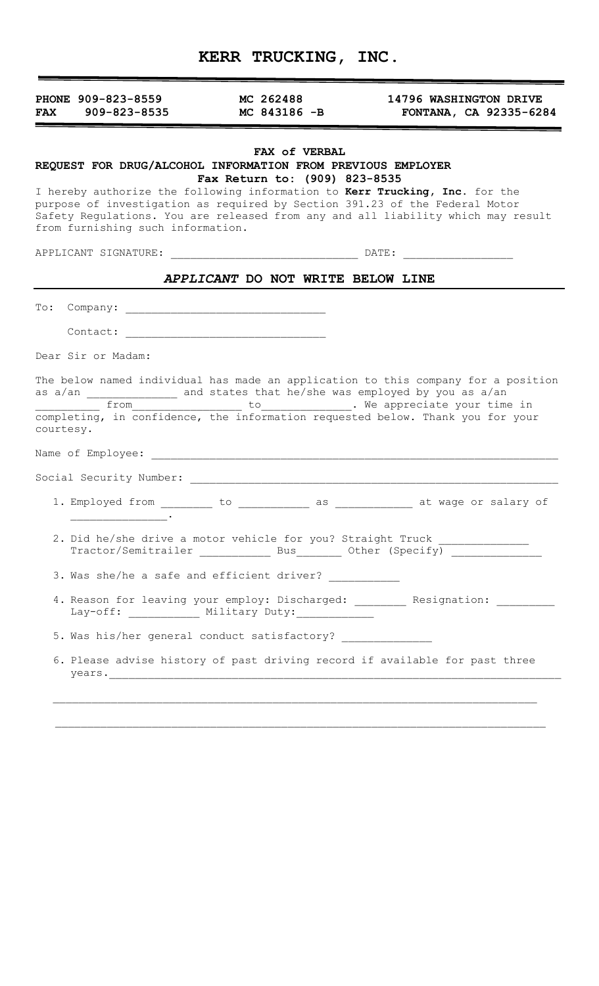|  | <b>KERR TRUCKING, INC.</b> |  |
|--|----------------------------|--|
|--|----------------------------|--|

| PHONE 909-823-8559<br>$909 - 823 - 8535$<br><b>FAX</b>                                                                                                                                                                                                                                                                                             | MC 262488<br>MC 843186 $-B$                    |  | 14796 WASHINGTON DRIVE<br>FONTANA, CA 92335-6284          |  |
|----------------------------------------------------------------------------------------------------------------------------------------------------------------------------------------------------------------------------------------------------------------------------------------------------------------------------------------------------|------------------------------------------------|--|-----------------------------------------------------------|--|
| REQUEST FOR DRUG/ALCOHOL INFORMATION FROM PREVIOUS EMPLOYER<br>I hereby authorize the following information to Kerr Trucking, Inc. for the<br>purpose of investigation as required by Section 391.23 of the Federal Motor<br>Safety Regulations. You are released from any and all liability which may result<br>from furnishing such information. | FAX of VERBAL<br>Fax Return to: (909) 823-8535 |  |                                                           |  |
|                                                                                                                                                                                                                                                                                                                                                    |                                                |  |                                                           |  |
|                                                                                                                                                                                                                                                                                                                                                    | APPLICANT DO NOT WRITE BELOW LINE              |  |                                                           |  |
| $\texttt{To:}$                                                                                                                                                                                                                                                                                                                                     |                                                |  |                                                           |  |
| Contact: 2008. 2009. 2010. 2010. 2010. 2010. 2010. 2010. 2010. 2010. 2010. 2010. 2010. 2010. 2010. 2010. 2010                                                                                                                                                                                                                                      |                                                |  |                                                           |  |
| Dear Sir or Madam:                                                                                                                                                                                                                                                                                                                                 |                                                |  |                                                           |  |
| The below named individual has made an application to this company for a position<br>as a/an and states that he/she was employed by you as a/an<br>from<br>completing, in confidence, the information requested below. Thank you for your<br>courtesy.                                                                                             |                                                |  | ____________ to______________. We appreciate your time in |  |
| Name of Employee: When the contract of the contract of the contract of the contract of the contract of the contract of the contract of the contract of the contract of the contract of the contract of the contract of the con                                                                                                                     |                                                |  |                                                           |  |
| Social Security Number:                                                                                                                                                                                                                                                                                                                            |                                                |  |                                                           |  |
| 1. Employed from ________ to ___________ as ___________ at wage or salary of                                                                                                                                                                                                                                                                       |                                                |  |                                                           |  |
| 2. Did he/she drive a motor vehicle for you? Straight Truck _______________<br>Tractor/Semitrailer Bus Other (Specify)                                                                                                                                                                                                                             |                                                |  |                                                           |  |
| 3. Was she/he a safe and efficient driver? ___________                                                                                                                                                                                                                                                                                             |                                                |  |                                                           |  |
| 4. Reason for leaving your employ: Discharged: ________ Resignation: __________<br>Lay-off: ____________ Military Duty: ______________                                                                                                                                                                                                             |                                                |  |                                                           |  |
| 5. Was his/her general conduct satisfactory?                                                                                                                                                                                                                                                                                                       |                                                |  |                                                           |  |
| 6. Please advise history of past driving record if available for past three                                                                                                                                                                                                                                                                        |                                                |  |                                                           |  |
|                                                                                                                                                                                                                                                                                                                                                    |                                                |  |                                                           |  |